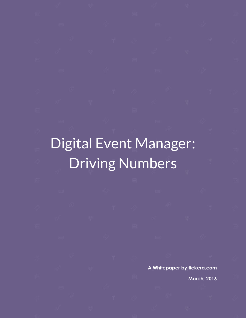# Digital Event Manager: Driving Numbers

**A Whitepaper by tickera.com**

**March, 2016**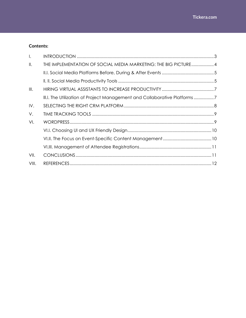#### **Contents:**

| $\mathsf{L}$  |                                                                           |  |
|---------------|---------------------------------------------------------------------------|--|
| $\parallel$ . | THE IMPLEMENTATION OF SOCIAL MEDIA MARKETING: THE BIG PICTURE4            |  |
|               |                                                                           |  |
|               |                                                                           |  |
| III.          |                                                                           |  |
|               | III.I. The Utilization of Project Management and Collaborative Platforms7 |  |
| IV.           |                                                                           |  |
| V.            |                                                                           |  |
| VI.           |                                                                           |  |
|               |                                                                           |  |
|               |                                                                           |  |
|               |                                                                           |  |
| VII.          |                                                                           |  |
| VIII.         |                                                                           |  |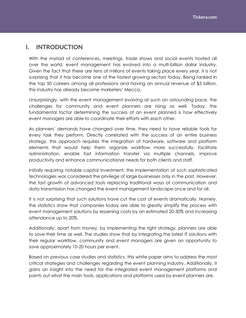## <span id="page-2-0"></span>**I. INTRODUCTION**

With the myriad of conferences, meetings, trade shows and social events hosted all over the world, event management has evolved into a multi-billion dollar industry. Given the fact that there are tens of millions of events taking place every year, it is not surprising that it has become one of the fastest growing sectors today. Being ranked in the top 50 careers among all professions and having an annual revenue of \$5 billion, this industry has already become marketers' Mecca.

Unsurprisingly, with the event management evolving at such an astounding pace, the challenges for community and event planners are rising as well. Today, the fundamental factor determining the success of an event planned is how effectively event managers are able to coordinate their efforts with each other.

As planners' demands have changed over time, they need to have reliable tools for every task they perform. Directly correlated with the success of an entire business strategy, this approach requires the integration of hardware, software and platform elements that would help them organize workflow more successfully, facilitate administration, enable fast information transfer via multiple channels, improve productivity and enhance communicational needs for both clients and staff.

Initially requiring notable capital investment, the implementation of such sophisticated technologies was considered the privilege of large businesses only in the past. However, the fast growth of advanced tools replacing traditional ways of communication and data transmission has changed the event management landscape once and for all.

It is not surprising that such solutions have cut the cost of events dramatically. Namely, the statistics show that companies today are able to greatly simplify the process with event management solutions by lessening costs by an estimated 20-30% and increasing attendance up to 20%.

Additionally, apart from money, by implementing the right strategy, planners are able to save their time as well. The studies show that by integrating the latest IT solutions with their regular workflow, community and event managers are given an opportunity to save approximately 10-20 hours per event.

Based on previous case studies and statistics, this white paper aims to address the most critical strategies and challenges regarding the event planning industry. Additionally, it gains an insight into the need for the integrated event management platforms and points out what the main tools, applications and platforms used by event planners are.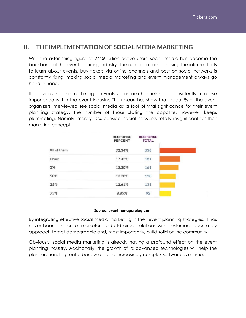## <span id="page-3-0"></span>**II. THE IMPLEMENTATION OF SOCIAL MEDIA MARKETING**

With the astonishing figure of 2.206 billion active users, social media has become the backbone of the event planning industry. The number of people using the internet tools to learn about events, buy tickets via online channels and post on social networks is constantly rising, making social media marketing and event management always go hand in hand.

It is obvious that the marketing of events via online channels has a consistently immense importance within the event industry. The researches show that about ¾ of the event organizers interviewed see social media as a tool of vital significance for their event planning strategy. The number of those stating the opposite, however, keeps plummeting. Namely, merely 10% consider social networks totally insignificant for their marketing concept.

|             | <b>RESPONSE</b><br><b>PERCENT</b> | <b>RESPONSE</b><br><b>TOTAL</b> |
|-------------|-----------------------------------|---------------------------------|
| All of them | 32.34%                            | 336                             |
| None        | 17.42%                            | 181                             |
| 5%          | 15.50%                            | 161                             |
| 50%         | 13.28%                            | 138                             |
| 25%         | 12.61%                            | 131                             |
| 75%         | 8.85%                             | 92                              |

#### **Source: eventmanagerblog.com**

By integrating effective social media marketing in their event planning strategies, it has never been simpler for marketers to build direct relations with customers, accurately approach target demographic and, most importantly, build solid online community.

Obviously, social media marketing is already having a profound effect on the event planning industry. Additionally, the growth of its advanced technologies will help the planners handle greater bandwidth and increasingly complex software over time.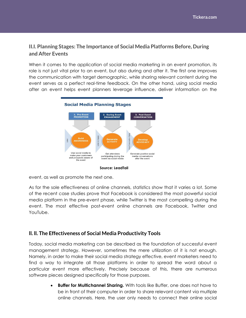## <span id="page-4-0"></span>**II.I. Planning Stages: The Importance of Social Media Platforms Before, During and After Events**

When it comes to the application of social media marketing in an event promotion, its role is not just vital prior to an event, but also during and after it. The first one improves the communication with target demographic, while sharing relevant content during the event serves as a perfect real-time feedback. On the other hand, using social media after an event helps event planners leverage influence, deliver information on the



**Source: LeadTail**

event, as well as promote the next one.

As for the sole effectiveness of online channels, statistics show that it varies a lot. Some of the recent case studies prove that Facebook is considered the most powerful social media platform in the pre-event phase, while Twitter is the most compelling during the event. The most effective post-event online channels are Facebook, Twitter and YouTube.

#### <span id="page-4-1"></span>**ll. ll. The Effectiveness of Social Media Productivity Tools**

Today, social media marketing can be described as the foundation of successful event management strategy. However, sometimes the mere utilization of it is not enough. Namely, in order to make their social media strategy effective, event marketers need to find a way to integrate all those platforms in order to spread the word about a particular event more effectively. Precisely because of this, there are numerous software pieces designed specifically for those purposes.

> **Buffer for Multichannel Sharing.** With tools like Buffer, one does not have to be in front of their computer in order to share relevant content via multiple online channels. Here, the user only needs to connect their online social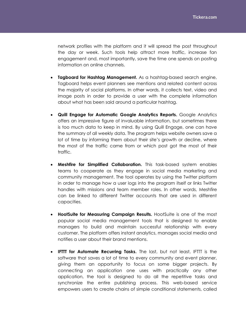network profiles with the platform and it will spread the post throughout the day or week. Such tools help attract more traffic, increase fan engagement and, most importantly, save the time one spends on posting information on online channels.

- **Tagboard for Hashtag Management.** As a hashtag-based search engine, Tagboard helps event planners see mentions and related content across the majority of social platforms. In other words, it collects text, video and image posts in order to provide a user with the complete information about what has been said around a particular hashtag.
- **Quill Engage for Automatic Google Analytics Reports.** Google Analytics offers an impressive figure of invaluable information, but sometimes there is too much data to keep in mind. By using Quill Engage, one can have the summary of all weekly data. The program helps website owners save a lot of time by informing them about their site's growth or decline, where the most of the traffic came from or which post got the most of their traffic.
- **Meshfire for Simplified Collaboration.** This task-based system enables teams to cooperate as they engage in social media marketing and community management. The tool operates by using the Twitter platform in order to manage how a user logs into the program itself or links Twitter handles with missions and team member roles. In other words, Meshfire can be linked to different Twitter accounts that are used in different capacities.
- **HootSuite for Measuring Campaign Results.** HootSuite is one of the most popular social media management tools that is designed to enable managers to build and maintain successful relationship with every customer. The platform offers instant analytics, manages social media and notifies a user about their brand mentions.
- **IFTTT for Automate Recurring Tasks.** The last, but not least, IFTTT is the software that saves a lot of time to every community and event planner, giving them an opportunity to focus on some bigger projects. By connecting an application one uses with practically any other application, the tool is designed to do all the repetitive tasks and synchronize the entire publishing process. This web-based service empowers users to create chains of simple conditional statements, called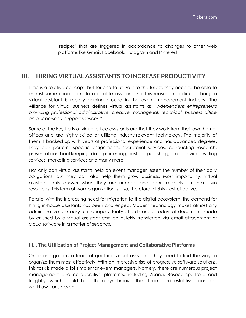"recipes" that are triggered in accordance to changes to other web platforms like Gmail, Facebook, Instagram and Pinterest.

## <span id="page-6-0"></span>**III. HIRING VIRTUAL ASSISTANTS TO INCREASE PRODUCTIVITY**

Time is a relative concept, but for one to utilize it to the fullest, they need to be able to entrust some minor tasks to a reliable assistant. For this reason in particular, hiring a virtual assistant is rapidly gaining ground in the event management industry. The Alliance for Virtual Business defines virtual assistants as *"independent entrepreneurs providing professional administrative, creative, managerial, technical, business office and/or personal support services."* 

Some of the key traits of virtual office assistants are that they work from their own homeoffices and are highly skilled at utilizing industry-relevant technology. The majority of them is backed up with years of professional experience and has advanced degrees. They can perform specific assignments, secretarial services, conducting research, presentations, bookkeeping, data processing, desktop publishing, email services, writing services, marketing services and many more.

Not only can virtual assistants help an event manager lessen the number of their daily obligations, but they can also help them grow business. Most importantly, virtual assistants only answer when they are needed and operate solely on their own resources. This form of work organization is also, therefore, highly cost-effective.

Parallel with the increasing need for migration to the digital ecosystem, the demand for hiring in-house assistants has been challenged. Modern technology makes almost any administrative task easy to manage virtually at a distance. Today, all documents made by or used by a virtual assistant can be quickly transferred via email attachment or cloud software in a matter of seconds.

#### <span id="page-6-1"></span>**lll.l. The Utilization of Project Management and Collaborative Platforms**

Once one gathers a team of qualified virtual assistants, they need to find the way to organize them most effectively. With an impressive rise of progressive software solutions, this task is made a lot simpler for event managers. Namely, there are numerous project management and collaborative platforms, including Asana, Basecamp, Trello and Insightly, which could help them synchronize their team and establish consistent workflow transmission.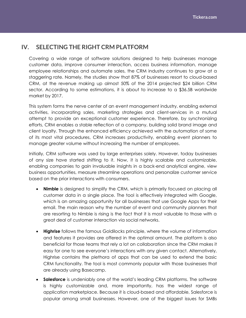## <span id="page-7-0"></span>**IV. SELECTING THE RIGHT CRM PLATFORM**

Covering a wide range of software solutions designed to help businesses manage customer data, improve consumer interaction, access business information, manage employee relationships and automate sales, the CRM industry continues to grow at a staggering rate. Namely, the studies show that 87% of businesses resort to cloud-based CRM, at the revenue making up almost 50% of the 2014 projected \$24 billion CRM sector. According to some estimations, it is about to increase to a \$36.5B worldwide market by 2017.

This system forms the nerve center of an event management industry, enabling external activities, incorporating sales, marketing strategies and client-services in a mutual attempt to provide an exceptional customer experience. Therefore, by synchronizing efforts, CRM enables a stable reflection of a company, building solid brand image and client loyalty. Through the enhanced efficiency achieved with the automation of some of its most vital procedures, CRM increases productivity, enabling event planners to manage greater volume without increasing the number of employees.

Initially, CRM software was used by large enterprises solely. However, today businesses of any size have started shifting to it. Now, it is highly scalable and customizable, enabling companies to gain invaluable insights in a back-end analytical engine, view business opportunities, measure streamline operations and personalize customer service based on the prior interactions with consumers.

- **Nimble** is designed to simplify the CRM, which is primarily focused on placing all customer data in a single place. The tool is effectively integrated with Google, which is an amazing opportunity for all businesses that use Google Apps for their email. The main reason why the number of event and community planners that are resorting to Nimble is rising is the fact that it is most valuable to those with a great deal of customer interaction via social networks.
- **Highrise** follows the famous Goldilocks principle, where the volume of information and features it provides are offered in the optimal amount. The platform is also beneficial for those teams that rely a lot on collaboration since the CRM makes it easy for one to see everyone's interactions with any given contact. Alternatively, Highrise contains the plethora of apps that can be used to extend the basic CRM functionality. The tool is most commonly popular with those businesses that are already using Basecamp.
- **Salesforce** is undeniably one of the world's leading CRM platforms. The software is highly customizable and, more importantly, has the widest range of application marketplace. Because it is cloud-based and affordable, Salesforce is popular among small businesses. However, one of the biggest issues for SMBs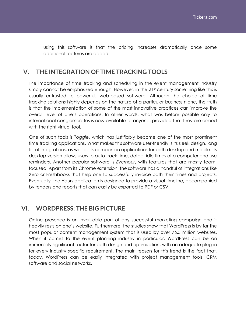using this software is that the pricing increases dramatically once some additional features are added.

## <span id="page-8-0"></span>**V. THE INTEGRATION OF TIME TRACKING TOOLS**

The importance of time tracking and scheduling in the event management industry simply cannot be emphasized enough. However, in the  $21<sup>st</sup>$  century something like this is usually entrusted to powerful, web-based software. Although the choice of time tracking solutions highly depends on the nature of a particular business niche, the truth is that the implementation of some of the most innovative practices can improve the overall level of one's operations. In other words, what was before possible only to international conglomerates is now available to anyone, provided that they are armed with the right virtual tool.

One of such tools is *Toggle*, which has justifiably become one of the most prominent time tracking applications. What makes this software user-friendly is its sleek design, long list of integrations, as well as its companion applications for both desktop and mobile. Its desktop version allows users to auto track time, detect idle times of a computer and use reminders. Another popular software is *Everhour*, with features that are mostly teamfocused. Apart from its Chrome extension, the software has a handful of integrations like Xero or Freshbooks that help one to successfully invoice both their times and projects. Eventually, the *Hou*rs application is designed to provide a visual timeline, accompanied by renders and reports that can easily be exported to PDF or CSV.

## <span id="page-8-1"></span>**VI. WORDPRESS: THE BIG PICTURE**

<span id="page-8-2"></span>Online presence is an invaluable part of any successful marketing campaign and it heavily rests on one's website. Furthermore, the studies show that WordPress is by far the most popular content management system that is used by over 76.5 million websites. When it comes to the event planning industry in particular, WordPress can be an immensely significant factor for both design and optimization, with an adequate plug-in for every industry specific requirement. The main reason for this trend is the fact that, today, WordPress can be easily integrated with project management tools, CRM software and social networks.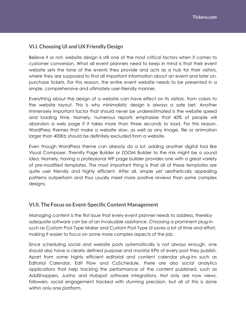### **VI.I. Choosing UI and UX Friendly Design**

Believe it or not, website design is still one of the most critical factors when it comes to customer conversion. What all event planners need to keep in mind is that their event website sets the tone of the events they provide and acts as a hub for their visitors, where they are supposed to find all important information about an event and later on, purchase tickets. For this reason, the entire event website needs to be presented in a simple, comprehensive and ultimately user-friendly manner.

Everything about the design of a website can have effect on its visitors, from colors to the website layout. This is why minimalistic design is always a safe bet. Another immensely important factor that should never be underestimated is the website speed and loading time. Namely, numerous reports emphasize that 40% of people will abandon a web page if it takes more than three seconds to load. For this reason, WordPress themes that make a website slow, as well as any image, file or animation larger than 400Kb should be definitely excluded from a website.

Even though WordPress theme can already do a lot, adding another digital tool like Visual Composer, Themify Page Builder or ZOOM Builder to the mix might be a sound idea. Namely, having a professional WP page builder provides one with a great variety of pre-modified templates. The most important thing is that all of these templates are quite user friendly and highly efficient. After all, simple yet aesthetically appealing patterns outperform and thus usually meet more positive reviews than some complex designs.

#### <span id="page-9-0"></span>**VI.II. The Focus on Event-Specific Content Management**

Managing content is the first issue that every event planner needs to address, thereby adequate software can be of an invaluable assistance. Choosing a prominent plug-in such as Custom Post Type Maker and Custom Post Type UI saves a lot of time and effort, making it easier to focus on some more complex aspects of the job.

Since scheduling social and website posts systematically is not always enough, one should also have a clearly defined purpose and monitor KPIs of every post they publish. Apart from some highly efficient editorial and content calendar plug-ins such as Editorial Calendar, Edit Flow and CoSchedule, there are also social analytics applications that help tracking the performance of the content published, such as AddShoppers, Justno and Hubspot software integrations. Not only are now views, followers, social engagement tracked with stunning precision, but all of this is done within only one platform.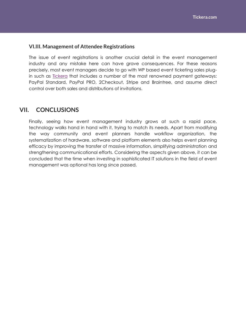#### <span id="page-10-0"></span>**VI.III. Management of Attendee Registrations**

The issue of event registrations is another crucial detail in the event management industry and any mistake here can have grave consequences. For these reasons precisely, most event managers decide to go with WP based event ticketing sales plugin such as [Tickera](https://tickera.com/) that includes a number of the most renowned payment gateways: PayPal Standard, PayPal PRO, 2Checkout, Stripe and Braintree, and assume direct control over both sales and distributions of invitations.

#### <span id="page-10-1"></span>**VII. CONCLUSIONS**

Finally, seeing how event management industry grows at such a rapid pace, technology walks hand in hand with it, trying to match its needs. Apart from modifying the way community and event planners handle workflow organization, the systematization of hardware, software and platform elements also helps event planning efficacy by improving the transfer of massive information, simplifying administration and strengthening communicational efforts. Considering the aspects given above, it can be concluded that the time when investing in sophisticated IT solutions in the field of event management was optional has long since passed.